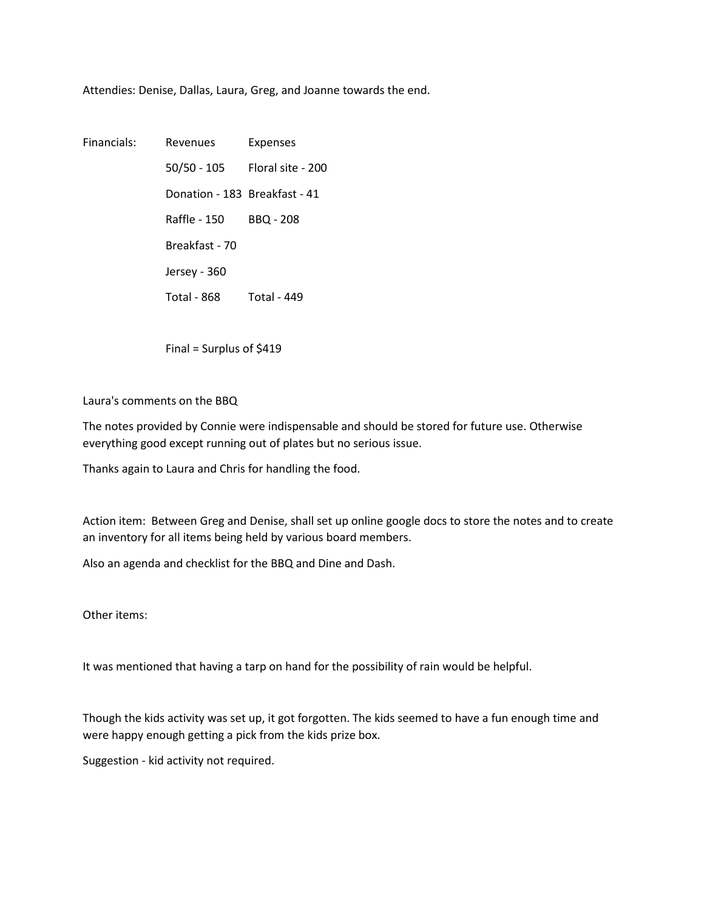Attendies: Denise, Dallas, Laura, Greg, and Joanne towards the end.

Financials: Revenues Expenses 50/50 - 105 Floral site - 200 Donation - 183 Breakfast - 41 Raffle - 150 BBQ - 208 Breakfast - 70 Jersey - 360 Total - 868 Total - 449

Final = Surplus of \$419

Laura's comments on the BBQ

The notes provided by Connie were indispensable and should be stored for future use. Otherwise everything good except running out of plates but no serious issue.

Thanks again to Laura and Chris for handling the food.

Action item: Between Greg and Denise, shall set up online google docs to store the notes and to create an inventory for all items being held by various board members.

Also an agenda and checklist for the BBQ and Dine and Dash.

Other items:

It was mentioned that having a tarp on hand for the possibility of rain would be helpful.

Though the kids activity was set up, it got forgotten. The kids seemed to have a fun enough time and were happy enough getting a pick from the kids prize box.

Suggestion - kid activity not required.